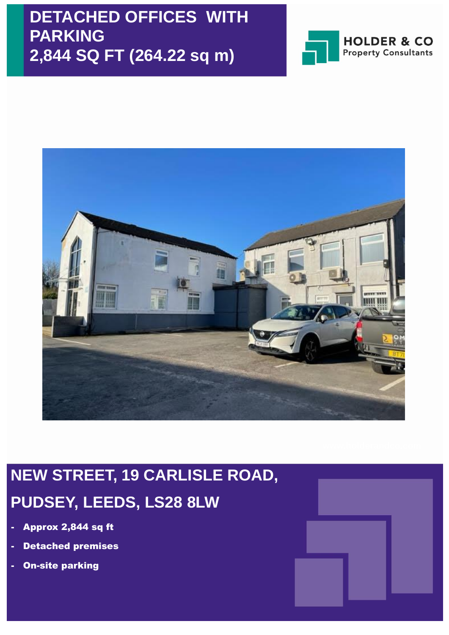## **DETACHED OFFICES WITH PARKING 2,844 SQ FT (264.22 sq m)**





# **NEW STREET, 19 CARLISLE ROAD, PUDSEY, LEEDS, LS28 8LW**

- Approx 2,844 sq ft
- **Detached premises**
- **On-site parking**